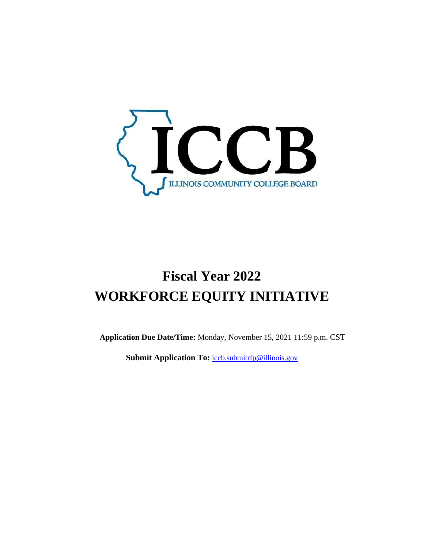

# **Fiscal Year 2022 WORKFORCE EQUITY INITIATIVE**

**Application Due Date/Time:** Monday, November 15, 2021 11:59 p.m. CST

**Submit Application To: [iccb.submitrfp@illinois.gov](mailto:iccb.submitrfp@illinois.gov)**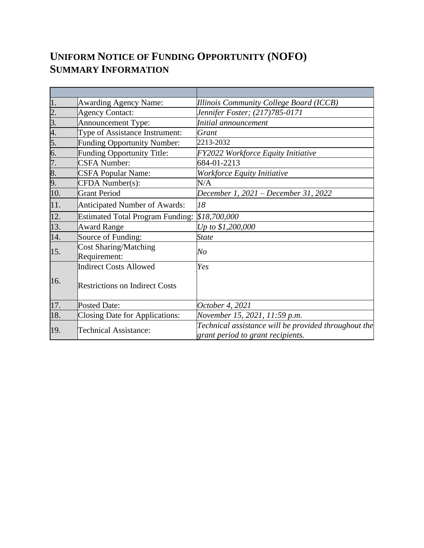## **UNIFORM NOTICE OF FUNDING OPPORTUNITY (NOFO) SUMMARY INFORMATION**

| 1.               | <b>Awarding Agency Name:</b>                 | Illinois Community College Board (ICCB)                                                   |
|------------------|----------------------------------------------|-------------------------------------------------------------------------------------------|
| $\frac{2}{3}$ .  | <b>Agency Contact:</b>                       | Jennifer Foster; (217)785-0171                                                            |
|                  | Announcement Type:                           | Initial announcement                                                                      |
| 4.               | Type of Assistance Instrument:               | Grant                                                                                     |
| 5.               | <b>Funding Opportunity Number:</b>           | 2213-2032                                                                                 |
| 6.               | Funding Opportunity Title:                   | <b>FY2022 Workforce Equity Initiative</b>                                                 |
| $\overline{7}$ . | <b>CSFA Number:</b>                          | 684-01-2213                                                                               |
| 8.               | <b>CSFA Popular Name:</b>                    | Workforce Equity Initiative                                                               |
| 9.               | CFDA Number(s):                              | N/A                                                                                       |
| 10.              | <b>Grant Period</b>                          | December 1, 2021 – December 31, 2022                                                      |
| 11.              | <b>Anticipated Number of Awards:</b>         | 18                                                                                        |
| 12.              | <b>Estimated Total Program Funding:</b>      | \$18,700,000                                                                              |
| 13.              | <b>Award Range</b>                           | Up to \$1,200,000                                                                         |
| 14.              | Source of Funding:                           | <b>State</b>                                                                              |
| 15.              | <b>Cost Sharing/Matching</b><br>Requirement: | N o                                                                                       |
|                  | <b>Indirect Costs Allowed</b>                | Yes                                                                                       |
| 16.              | <b>Restrictions on Indirect Costs</b>        |                                                                                           |
| 17.              | <b>Posted Date:</b>                          | October 4, 2021                                                                           |
| 18.              | Closing Date for Applications:               | November 15, 2021, 11:59 p.m.                                                             |
| 19.              | <b>Technical Assistance:</b>                 | Technical assistance will be provided throughout the<br>grant period to grant recipients. |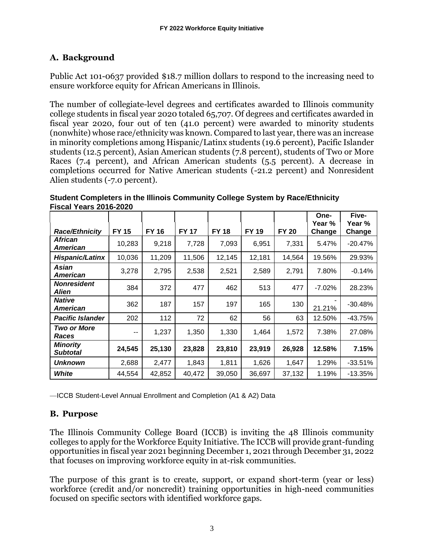## **A. Background**

Public Act 101-0637 provided \$18.7 million dollars to respond to the increasing need to ensure workforce equity for African Americans in Illinois.

The number of collegiate-level degrees and certificates awarded to Illinois community college students in fiscal year 2020 totaled 65,707. Of degrees and certificates awarded in fiscal year 2020, four out of ten (41.0 percent) were awarded to minority students (nonwhite) whose race/ethnicity was known. Compared to last year, there was an increase in minority completions among Hispanic/Latinx students (19.6 percent), Pacific Islander students (12.5 percent), Asian American students (7.8 percent), students of Two or More Races (7.4 percent), and African American students (5.5 percent). A decrease in completions occurred for Native American students (-21.2 percent) and Nonresident Alien students (-7.0 percent).

|                                    |              |              |              |              |              |              | One-<br>Year % | Five-<br>Year % |
|------------------------------------|--------------|--------------|--------------|--------------|--------------|--------------|----------------|-----------------|
| <b>Race/Ethnicity</b>              | <b>FY 15</b> | <b>FY 16</b> | <b>FY 17</b> | <b>FY 18</b> | <b>FY 19</b> | <b>FY 20</b> | Change         | Change          |
| African<br>American                | 10,283       | 9,218        | 7,728        | 7,093        | 6,951        | 7,331        | 5.47%          | $-20.47%$       |
| <b>Hispanic/Latinx</b>             | 10,036       | 11,209       | 11,506       | 12,145       | 12,181       | 14,564       | 19.56%         | 29.93%          |
| Asian<br>American                  | 3,278        | 2,795        | 2,538        | 2,521        | 2,589        | 2,791        | 7.80%          | $-0.14%$        |
| <b>Nonresident</b><br>Alien        | 384          | 372          | 477          | 462          | 513          | 477          | $-7.02%$       | 28.23%          |
| <b>Native</b><br>American          | 362          | 187          | 157          | 197          | 165          | 130          | 21.21%         | $-30.48%$       |
| <b>Pacific Islander</b>            | 202          | 112          | 72           | 62           | 56           | 63           | 12.50%         | $-43.75%$       |
| <b>Two or More</b><br>Races        | --           | 1,237        | 1,350        | 1,330        | 1,464        | 1,572        | 7.38%          | 27.08%          |
| <b>Minority</b><br><b>Subtotal</b> | 24,545       | 25,130       | 23,828       | 23,810       | 23,919       | 26,928       | 12.58%         | 7.15%           |
| Unknown                            | 2,688        | 2,477        | 1,843        | 1,811        | 1,626        | 1,647        | 1.29%          | $-33.51%$       |
| White                              | 44,554       | 42,852       | 40,472       | 39,050       | 36,697       | 37,132       | 1.19%          | $-13.35%$       |

**Student Completers in the Illinois Community College System by Race/Ethnicity Fiscal Years 2016-2020**

—ICCB Student-Level Annual Enrollment and Completion (A1 & A2) Data

## **B. Purpose**

The Illinois Community College Board (ICCB) is inviting the 48 Illinois community colleges to apply for the Workforce Equity Initiative. The ICCB will provide grant-funding opportunities in fiscal year 2021 beginning December 1, 2021 through December 31, 2022 that focuses on improving workforce equity in at-risk communities.

The purpose of this grant is to create, support, or expand short-term (year or less) workforce (credit and/or noncredit) training opportunities in high-need communities focused on specific sectors with identified workforce gaps.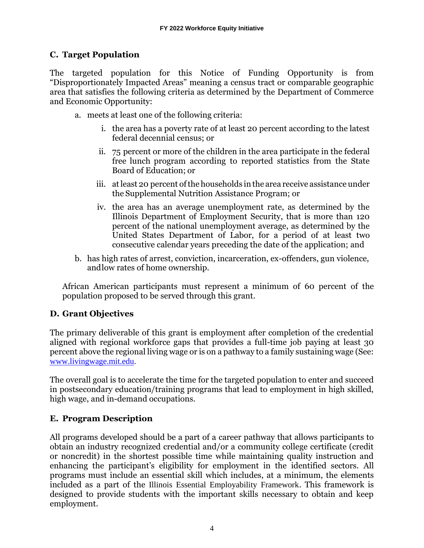## **C. Target Population**

The targeted population for this Notice of Funding Opportunity is from "Disproportionately Impacted Areas" meaning a census tract or comparable geographic area that satisfies the following criteria as determined by the Department of Commerce and Economic Opportunity:

- a. meets at least one of the following criteria:
	- i. the area has a poverty rate of at least 20 percent according to the latest federal decennial census; or
	- ii. 75 percent or more of the children in the area participate in the federal free lunch program according to reported statistics from the State Board of Education; or
	- iii. at least 20 percent of the households in the area receive assistance under the Supplemental Nutrition Assistance Program; or
	- iv. the area has an average unemployment rate, as determined by the Illinois Department of Employment Security, that is more than 120 percent of the national unemployment average, as determined by the United States Department of Labor, for a period of at least two consecutive calendar years preceding the date of the application; and
- b. has high rates of arrest, conviction, incarceration, ex-offenders, gun violence, andlow rates of home ownership.

African American participants must represent a minimum of 60 percent of the population proposed to be served through this grant.

## **D. Grant Objectives**

The primary deliverable of this grant is employment after completion of the credential aligned with regional workforce gaps that provides a full-time job paying at least 30 percent above the regional living wage or is on a pathway to a family sustaining wage (See: [www.livingwage.mit.edu.](http://www.livingwage.mit.edu/)

The overall goal is to accelerate the time for the targeted population to enter and succeed in postsecondary education/training programs that lead to employment in high skilled, high wage, and in-demand occupations.

## **E. Program Description**

All programs developed should be a part of a [career pathway t](https://icsps.illinoisstate.edu/images/pdfs/CTE/Perkins_V/6Perkins_V_Resource_IL-Career-Pathways-Dictionary.pdf)hat allows participants to obtain an industry recognized credential and/or a community college certificate (credit or noncredit) in the shortest possible time while maintaining quality instruction and enhancing the participant's eligibility for employment in the identified sectors. All programs must include an essential skill which includes, at a minimum, the elements included as a part of the [Illinois Essential Employability Framework](https://www.illinoisworknet.com/DownloadPrint/ILEssentialEmployabilitySkills-Handout.pdf). This framework is designed to provide students with the important skills necessary to obtain and keep employment.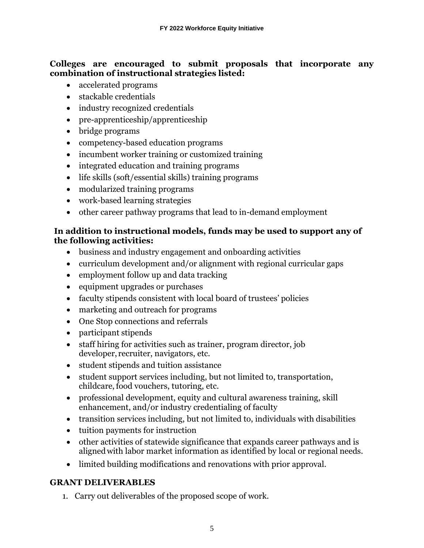#### **Colleges are encouraged to submit proposals that incorporate any combination of instructional strategies listed:**

- accelerated programs
- stackable credentials
- industry recognized credentials
- pre-apprenticeship/apprenticeship
- bridge programs
- competency-based education programs
- incumbent worker training or customized training
- integrated education and training programs
- life skills (soft/essential skills) training programs
- modularized training programs
- work-based learning strategies
- other career pathway programs that lead to in-demand employment

#### **In addition to instructional models, funds may be used to support any of the following activities:**

- business and industry engagement and onboarding activities
- curriculum development and/or alignment with regional curricular gaps
- employment follow up and data tracking
- equipment upgrades or purchases
- faculty stipends consistent with local board of trustees' policies
- marketing and outreach for programs
- One Stop connections and referrals
- participant stipends
- staff hiring for activities such as trainer, program director, job developer, recruiter, navigators, etc.
- student stipends and tuition assistance
- student support services including, but not limited to, transportation, childcare, food vouchers, tutoring, etc.
- professional development, equity and cultural awareness training, skill enhancement, and/or industry credentialing of faculty
- transition services including, but not limited to, individuals with disabilities
- tuition payments for instruction
- other activities of statewide significance that expands career pathways and is alignedwith labor market information as identified by local or regional needs.
- limited building modifications and renovations with prior approval.

## **GRANT DELIVERABLES**

1. Carry out deliverables of the proposed scope of work.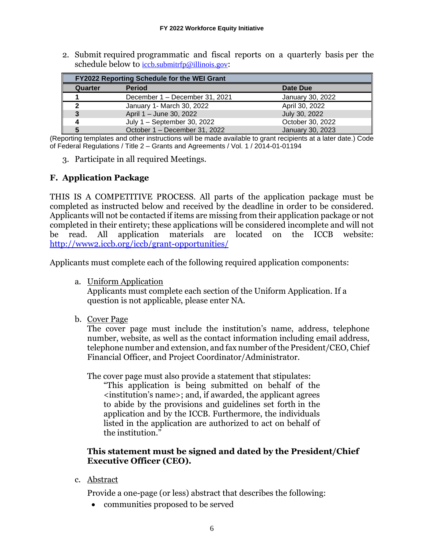2. Submit required programmatic and fiscal reports on a quarterly basis per the schedule below to [iccb.submitrfp@illinois.gov](mailto:iccb.submitrfp@illinois.gov):

| <b>FY2022 Reporting Schedule for the WEI Grant</b> |                                |                  |  |  |  |  |  |
|----------------------------------------------------|--------------------------------|------------------|--|--|--|--|--|
| Quarter                                            | <b>Period</b>                  | Date Due         |  |  |  |  |  |
|                                                    | December 1 - December 31, 2021 | January 30, 2022 |  |  |  |  |  |
| າ                                                  | January 1- March 30, 2022      | April 30, 2022   |  |  |  |  |  |
|                                                    | April 1 - June 30, 2022        | July 30, 2022    |  |  |  |  |  |
|                                                    | July 1 - September 30, 2022    | October 30, 2022 |  |  |  |  |  |
|                                                    | October 1 - December 31, 2022  | January 30, 2023 |  |  |  |  |  |

(Reporting templates and other instructions will be made available to grant recipients at a later date.) Code of Federal Regulations / Title 2 – Grants and Agreements / Vol. 1 / 2014-01-01194

3. Participate in all required Meetings.

## **F. Application Package**

THIS IS A COMPETITIVE PROCESS. All parts of the application package must be completed as instructed below and received by the deadline in order to be considered. Applicants will not be contacted if items are missing from their application package or not completed in their entirety; these applications will be considered incomplete and will not be read. All application materials are located on the ICCB website: <http://www2.iccb.org/iccb/grant-opportunities/>

Applicants must complete each of the following required application components:

a. Uniform Application

Applicants must complete each section of the Uniform Application. If a question is not applicable, please enter NA.

b. Cover Page

The cover page must include the institution's name, address, telephone number, website, as well as the contact information including email address, telephone number and extension, and fax number of the President/CEO, Chief Financial Officer, and Project Coordinator/Administrator.

The cover page must also provide a statement that stipulates:

"This application is being submitted on behalf of the <institution's name>; and, if awarded, the applicant agrees to abide by the provisions and guidelines set forth in the application and by the ICCB. Furthermore, the individuals listed in the application are authorized to act on behalf of the institution."

#### **This statement must be signed and dated by the President/Chief Executive Officer (CEO).**

c. Abstract

Provide a one-page (or less) abstract that describes the following:

• communities proposed to be served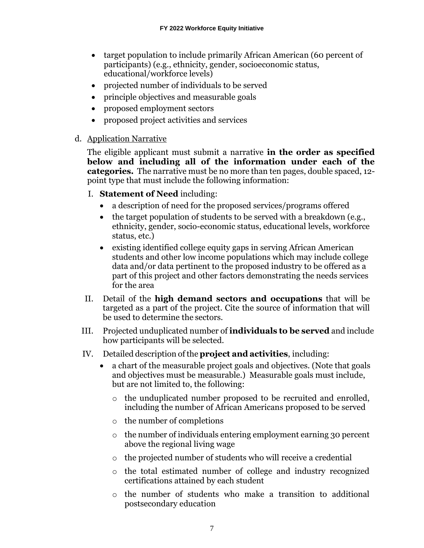- target population to include primarily African American (60 percent of participants) (e.g., ethnicity, gender, socioeconomic status, educational/workforce levels)
- projected number of individuals to be served
- principle objectives and measurable goals
- proposed employment sectors
- proposed project activities and services
- d. Application Narrative

The eligible applicant must submit a narrative **in the order as specified below and including all of the information under each of the categories.** The narrative must be no more than ten pages, double spaced, 12 point type that must include the following information:

- I. **Statement of Need** including:
	- a description of need for the proposed services/programs offered
	- the target population of students to be served with a breakdown (e.g., ethnicity, gender, socio-economic status, educational levels, workforce status, etc.)
	- existing identified college equity gaps in serving African American students and other low income populations which may include college data and/or data pertinent to the proposed industry to be offered as a part of this project and other factors demonstrating the needs services for the area
- II. Detail of the **high demand sectors and occupations** that will be targeted as a part of the project. Cite the source of information that will be used to determine the sectors.
- III. Projected unduplicated number of **individuals to be served** and include how participants will be selected.
- IV. Detailed description of the **project and activities**, including:
	- a chart of the measurable project goals and objectives. (Note that goals and objectives must be measurable.) Measurable goals must include, but are not limited to, the following:
		- o the unduplicated number proposed to be recruited and enrolled, including the number of African Americans proposed to be served
		- o the number of completions
		- o the number of individuals entering employment earning 30 percent above the regional living wage
		- o the projected number of students who will receive a credential
		- o the total estimated number of college and industry recognized certifications attained by each student
		- o the number of students who make a transition to additional postsecondary education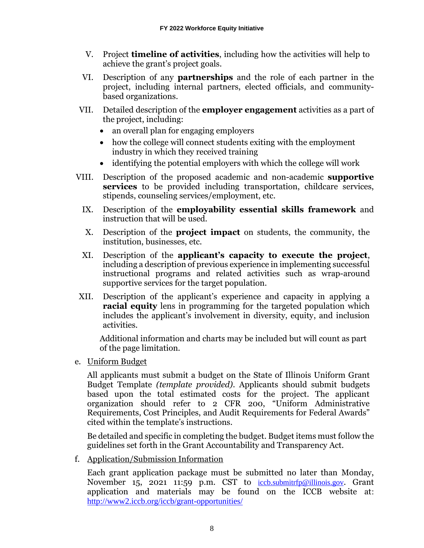- V. Project **timeline of activities**, including how the activities will help to achieve the grant's project goals.
- VI. Description of any **partnerships** and the role of each partner in the project, including internal partners, elected officials, and communitybased organizations.
- VII. Detailed description of the **employer engagement** activities as a part of the project, including:
	- an overall plan for engaging employers
	- how the college will connect students exiting with the employment industry in which they received training
	- identifying the potential employers with which the college will work
- VIII. Description of the proposed academic and non-academic **supportive services** to be provided including transportation, childcare services, stipends, counseling services/employment, etc.
	- IX. Description of the **employability essential skills framework** and instruction that will be used.
	- X. Description of the **project impact** on students, the community, the institution, businesses, etc.
	- XI. Description of the **applicant's capacity to execute the project**, including a description of previous experience in implementing successful instructional programs and related activities such as wrap-around supportive services for the target population.
- XII. Description of the applicant's experience and capacity in applying a **racial equity** lens in programming for the targeted population which includes the applicant's involvement in diversity, equity, and inclusion activities.

Additional information and charts may be included but will count as part of the page limitation.

e. Uniform Budget

All applicants must submit a budget on the State of Illinois Uniform Grant Budget Template *(template provided)*. Applicants should submit budgets based upon the total estimated costs for the project. The applicant organization should refer to 2 CFR 200, "Uniform Administrative Requirements, Cost Principles, and Audit Requirements for Federal Awards" cited within the template's instructions.

Be detailed and specific in completing the budget. Budget items must follow the guidelines set forth in the Grant Accountability and Transparency Act.

f. Application/Submission Information

Each grant application package must be submitted no later than Monday, November 15, 2021 11:59 p.m. CST to [iccb.submitrfp@illinois.gov](mailto:iccb.submitrfp@illinois.gov). Grant application and materials may be found on the ICCB website at: <http://www2.iccb.org/iccb/grant-opportunities/>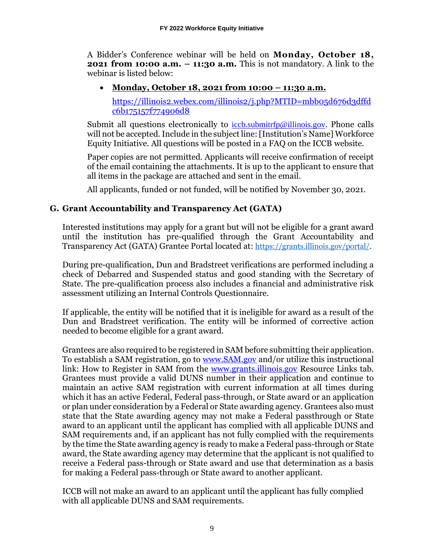A Bidder's Conference webinar will be held on **Monday, October 18, 2021 from 10:00 a.m. – 11:30 a.m.** This is not mandatory. A link to the webinar is listed below:

## • **Monday, October 18, 2021 from 10:00 – 11:30 a.m.**

[https://illinois2.webex.com/illinois2/j.php?MTID=mbb05d676d3dffd](https://illinois2.webex.com/illinois2/j.php?MTID=mbb05d676d3dffdc6b175157f774906d8) [c6b175157f774906d8](https://illinois2.webex.com/illinois2/j.php?MTID=mbb05d676d3dffdc6b175157f774906d8)

Submit all questions electronically to [iccb.submitrfp@illinois.gov](mailto:iccb.submitrfp@illinois.gov)[.](mailto:Nora.l.rossman@illinois.gov) Phone calls will not be accepted. Include in the subject line: [Institution's Name] Workforce Equity Initiative. All questions will be posted in a FAQ on the ICCB website.

Paper copies are not permitted. Applicants will receive confirmation of receipt of the email containing the attachments. It is up to the applicant to ensure that all items in the package are attached and sent in the email.

All applicants, funded or not funded, will be notified by November 30, 2021.

## **G. Grant Accountability and Transparency Act (GATA)**

Interested institutions may apply for a grant but will not be eligible for a grant award until the institution has pre-qualified through the Grant Accountability and Transparency Act (GATA) Grantee Portal located at: [https://grants.illinois.gov/portal/.](http://www.grants.illinois.gov/)

During pre-qualification, Dun and Bradstreet verifications are performed including a check of Debarred and Suspended status and good standing with the Secretary of State. The pre-qualification process also includes a financial and administrative risk assessment utilizing an Internal Controls Questionnaire.

If applicable, the entity will be notified that it is ineligible for award as a result of the Dun and Bradstreet verification. The entity will be informed of corrective action needed to become eligible for a grant award.

Grantees are also required to be registered in SAM before submitting their application. To establish a SAM registration, go to [www.SAM.gov](http://www.sam.gov/) and/or utilize this instructional link: How to Register in SAM from the [www.grants.illinois.gov](http://www.grants.illinois.gov/) Resource Links tab. Grantees must provide a valid DUNS number in their application and continue to maintain an active SAM registration with current information at all times during which it has an active Federal, Federal pass-through, or State award or an application or plan under consideration by a Federal or State awarding agency. Grantees also must state that the State awarding agency may not make a Federal passthrough or State award to an applicant until the applicant has complied with all applicable DUNS and SAM requirements and, if an applicant has not fully complied with the requirements by the time the State awarding agency is ready to make a Federal pass-through or State award, the State awarding agency may determine that the applicant is not qualified to receive a Federal pass-through or State award and use that determination as a basis for making a Federal pass-through or State award to another applicant.

ICCB will not make an award to an applicant until the applicant has fully complied with all applicable DUNS and SAM requirements.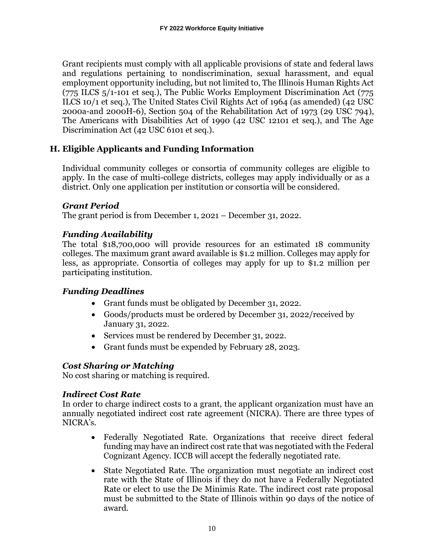Grant recipients must comply with all applicable provisions of state and federal laws and regulations pertaining to nondiscrimination, sexual harassment, and equal employment opportunity including, but not limited to, The Illinois Human Rights Act (775 ILCS 5/1-101 et seq.), The Public Works Employment Discrimination Act (775 ILCS 10/1 et seq.), The United States Civil Rights Act of 1964 (as amended) (42 USC 2000a-and 2000H-6), Section 504 of the Rehabilitation Act of 1973 (29 USC 794), The Americans with Disabilities Act of 1990 (42 USC 12101 et seq.), and The Age Discrimination Act (42 USC 6101 et seq.).

## **H. Eligible Applicants and Funding Information**

Individual community colleges or consortia of community colleges are eligible to apply. In the case of multi-college districts, colleges may apply individually or as a district. Only one application per institution or consortia will be considered.

#### *Grant Period*

The grant period is from December 1, 2021 – December 31, 2022.

#### *Funding Availability*

The total \$18,700,000 will provide resources for an estimated 18 community colleges. The maximum grant award available is \$1.2 million. Colleges may apply for less, as appropriate. Consortia of colleges may apply for up to \$1.2 million per participating institution.

#### *Funding Deadlines*

- Grant funds must be obligated by December 31, 2022.
- Goods/products must be ordered by December 31, 2022/received by January 31, 2022.
- Services must be rendered by December 31, 2022.
- Grant funds must be expended by February 28, 2023.

#### *Cost Sharing or Matching*

No cost sharing or matching is required.

#### *Indirect Cost Rate*

In order to charge indirect costs to a grant, the applicant organization must have an annually negotiated indirect cost rate agreement (NICRA). There are three types of NICRA's.

- Federally Negotiated Rate. Organizations that receive direct federal funding may have an indirect cost rate that was negotiated with the Federal Cognizant Agency. ICCB will accept the federally negotiated rate.
- State Negotiated Rate. The organization must negotiate an indirect cost rate with the State of Illinois if they do not have a Federally Negotiated Rate or elect to use the De Minimis Rate. The indirect cost rate proposal must be submitted to the State of Illinois within 90 days of the notice of award.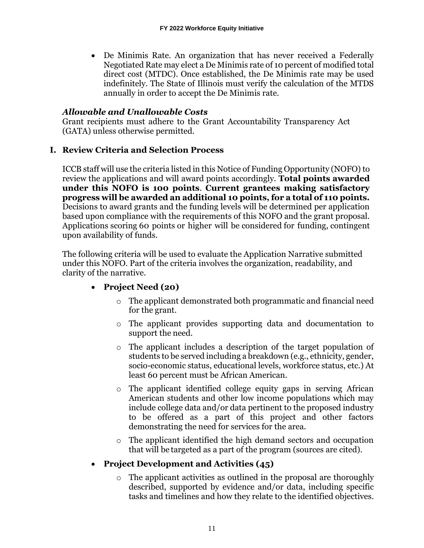• De Minimis Rate. An organization that has never received a Federally Negotiated Rate may elect a De Minimis rate of 10 percent of modified total direct cost (MTDC). Once established, the De Minimis rate may be used indefinitely. The State of Illinois must verify the calculation of the MTDS annually in order to accept the De Minimis rate.

## *Allowable and Unallowable Costs*

Grant recipients must adhere to the Grant Accountability Transparency Act (GATA) unless otherwise permitted.

#### **I. Review Criteria and Selection Process**

ICCB staff will use the criteria listed in this Notice of Funding Opportunity (NOFO) to review the applications and will award points accordingly. **Total points awarded under this NOFO is 100 points**. **Current grantees making satisfactory progress will be awarded an additional 10 points, for a total of 110 points.** Decisions to award grants and the funding levels will be determined per application based upon compliance with the requirements of this NOFO and the grant proposal. Applications scoring 60 points or higher will be considered for funding, contingent upon availability of funds.

The following criteria will be used to evaluate the Application Narrative submitted under this NOFO. Part of the criteria involves the organization, readability, and clarity of the narrative.

## • **Project Need (20)**

- o The applicant demonstrated both programmatic and financial need for the grant.
- o The applicant provides supporting data and documentation to support the need.
- o The applicant includes a description of the target population of students to be served including a breakdown (e.g., ethnicity, gender, socio-economic status, educational levels, workforce status, etc.) At least 60 percent must be African American.
- o The applicant identified college equity gaps in serving African American students and other low income populations which may include college data and/or data pertinent to the proposed industry to be offered as a part of this project and other factors demonstrating the need for services for the area.
- o The applicant identified the high demand sectors and occupation that will be targeted as a part of the program (sources are cited).

## • **Project Development and Activities (45)**

 $\circ$  The applicant activities as outlined in the proposal are thoroughly described, supported by evidence and/or data, including specific tasks and timelines and how they relate to the identified objectives.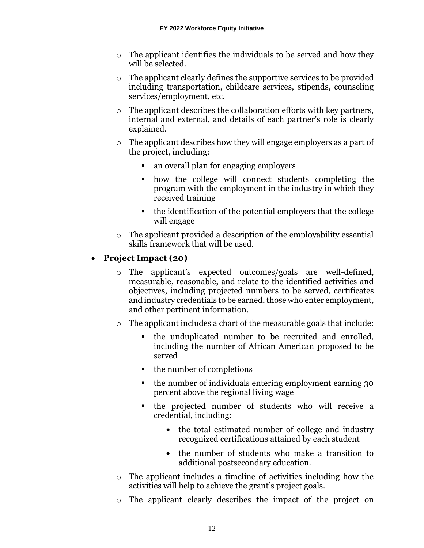- o The applicant identifies the individuals to be served and how they will be selected.
- o The applicant clearly defines the supportive services to be provided including transportation, childcare services, stipends, counseling services/employment, etc.
- o The applicant describes the collaboration efforts with key partners, internal and external, and details of each partner's role is clearly explained.
- o The applicant describes how they will engage employers as a part of the project, including:
	- an overall plan for engaging employers
	- how the college will connect students completing the program with the employment in the industry in which they received training
	- the identification of the potential employers that the college will engage
- o The applicant provided a description of the employability essential skills framework that will be used.

## • **Project Impact (20)**

- o The applicant's expected outcomes/goals are well-defined, measurable, reasonable, and relate to the identified activities and objectives, including projected numbers to be served, certificates and industry credentials to be earned, those who enter employment, and other pertinent information.
- o The applicant includes a chart of the measurable goals that include:
	- the unduplicated number to be recruited and enrolled, including the number of African American proposed to be served
	- the number of completions
	- the number of individuals entering employment earning 30 percent above the regional living wage
	- the projected number of students who will receive a credential, including:
		- the total estimated number of college and industry recognized certifications attained by each student
		- the number of students who make a transition to additional postsecondary education.
- o The applicant includes a timeline of activities including how the activities will help to achieve the grant's project goals.
- o The applicant clearly describes the impact of the project on